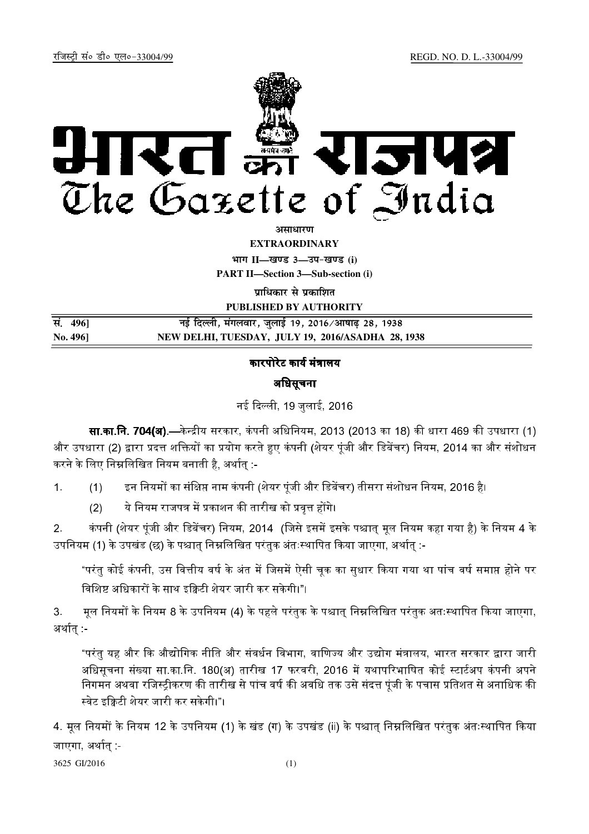

असाधा**र**ण

**EXTRAORDINARY**

**Hkkx II—[k.M 3—mi&[k.M (i)**

**PART II—Section 3—Sub-section (i)** 

**पाधिकार से पका**शित

**PUBLISHED BY AUTHORITY**

| सं. 4961 | नई दिल्ली, मंगलवार, जुलाई 19, 2016/आषाढ़ 28, 1938 |  |
|----------|---------------------------------------------------|--|
| No. 4961 | NEW DELHI, TUESDAY, JULY 19, 2016/ASADHA 28, 1938 |  |

# कारपोरेट कार्य मंत्रालय

# अधिसूचना

नई दिल्ली, 19 जलाई, 2016

**सा.का.नि. 704(अ).—**केन्द्रीय सरकार, कंपनी अधिनियम, 2013 (2013 का 18) की धारा 469 की उपधारा (1). और उपधारा (2) द्वारा प्रदत्त शक्तियों का प्रयोग करते हुए कंपनी (शेयर पंजी और डिबेंचर) नियम, 2014 का और संशोधन करने के लिए निम्नलिखित नियम बनाती है. अर्थात :-

1. (1) इन नियमों का संक्षिप्त नाम कंपनी (शेयर पंजी और डिबेंचर) तीसरा संशोधन नियम, 2016 है।

 (2) नियम राजपत्र में प्रकाशन की तारीख को प्रवत्त होंगे।

2. कंपनी (शेयर पंजी और डिबेंचर) नियम, 2014. (जिसे इसमें इसके पश्चात मल नियम कहा गया है) के नियम 4 के उपनियम (1) के उपखंड (छ) के पश्चात निम्नलिखित परंतक अंतःस्थापित किया जाएगा. अर्थात :-

"परंत कोई कंपनी. उस वित्तीय वर्ष के अंत में जिसमें ऐसी चक का सधार किया गया था पांच वर्ष समाप्त होने पर विशिष्ट अधिकारों के साथ इक्विटी शेयर जारी कर सकेगी।"।

3. मल नियमों के नियम 8 के उपनियम (4) के पहले परंतक के पश्चात निम्नलिखित परंतक अतःस्थापित किया जाएगा. अर्थात -

"परंतु यह और कि औद्योगिक नीति और संवर्धन विभाग, वाणिज्य और उद्योग मंत्रालय, भारत सरकार द्वारा जारी अधिसचना संख्या सा.का.नि. 180(अ) तारीख 17 फरवरी. 2016 में यथापरिभाषित कोई स्टार्टअप कंपनी अपने निगमन अथवा रजिस्टीकरण की तारीख से पांच वर्ष की अवधि तक उसे संदत्त पंजी के पचास प्रतिशत से अनाधिक की स्वेट इक्विटी शेयर जारी कर सकेगी।"।

4. मूल नियमों के नियम 12 के उपनियम (1) के खंड (ग) के उपखंड (ii) के पश्चात् निम्नलिखित परंतुक अंतःस्थापित किया जाएगा अर्थात -

3625 GI/2016 (1)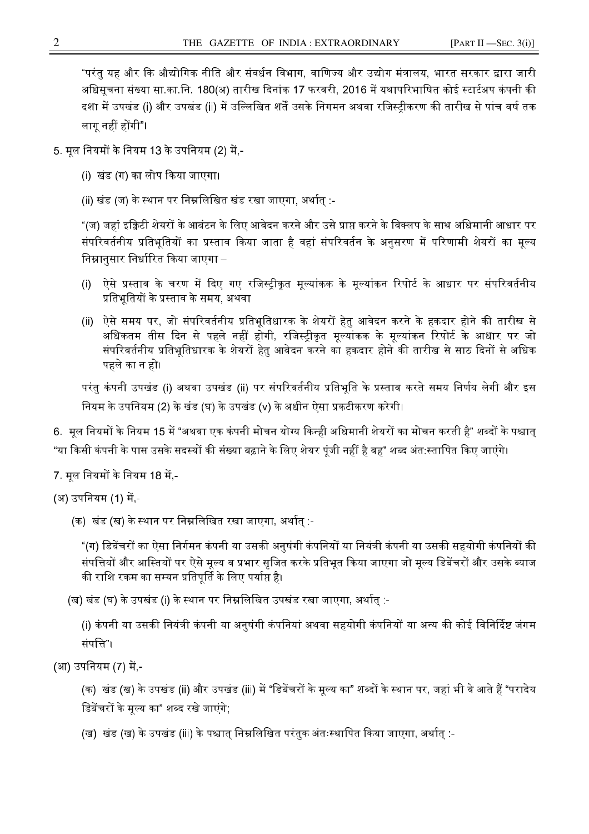"परंतु यह और कि औद्योगिक नीति और संवर्धन विभाग, वाणिज्य और उद्योग मंत्रालय, भारत सरकार द्वारा जारी अधिसूचना संख्या सा.का.नि. 180(अ) तारीख दिनांक 17 फरवरी, 2016 में यथापरिभाषित कोई स्टार्टअप कंपनी की दशा में उपखंड (i) और उपखंड (ii) में उल्लिखित शर्तें उसके निगमन अथवा रजिस्ट्रीकरण की तारीख से पांच वर्ष तक लाग नहीं होंगी"।

- 5. मूल नियमों के नियम 13 के उपनियम (2) में -
	- (i) खंड (ग) का लोप किया जाएगा।
	- (ii) खंड (ज) के स्थान पर निम्नलिखित खंड रखा जाएगा, अर्थातु :-

"(ज) जहां इक्विटी शेयरों के आबंटन के लिए आवेदन करने और उसे प्राप्त करने के विक्लप के साथ अधिमानी आधार पर संपरिवर्तनीय प्रतिभूतियों का प्रस्ताव किया जाता है वहां संपरिवर्तन के अनुसरण में परिणामी शेयरों का मूल्य निम्नानुसार निर्धारित किया जाएगा –

- ऐसे प्रस्ताव के चरण में दिए गए रजिस्ट्रीकृत मूल्यांकक के मूल्यांकन रिपोर्ट के आधार पर संपरिवर्तनीय  $(i)$ प्रतिभुतियों के प्रस्ताव के समय, अथवा
- (ii) ऐसे समय पर, जो संपरिवर्तनीय प्रतिभूतिधारक के शेयरों हेतु आवेदन करने के हकदार होने की तारीख से अधिकतम तीस दिन से पहले नहीं होगी, रजिस्ट्रीकृत मूल्यांकक के मूल्यांकन रिपोर्ट के आधार पर जो संपरिवर्तनीय प्रतिभूतिधारक के शेयरों हेतु आवेदन करने का हकदार होने की तारीख से साठ दिनों से अधिक पहले का न हो।

परंतु कंपनी उपखंड (i) अथवा उपखंड (ii) पर संपरिवर्तनीय प्रतिभूति के प्रस्ताव करते समय निर्णय लेगी और इस नियम के उपनियम (2) के खंड (घ) के उपखंड (v) के अधीन ऐसा प्रकटीकरण करेगी।

6. मूल नियमों के नियम 15 में "अथवा एक कंपनी मोचन योग्य किन्ही अधिमानी शेयरों का मोचन करती है" शब्दों के पश्चात् "या किसी कंपनी के पास उसके सदस्यों की संख्या बढ़ाने के लिए शेयर पुंजी नहीं है वह" शब्द अंत∶स्तापित किए जाएंगे।

7. मूल नियमों के नियम 18 में -

```
(अ) उपनियम (1) में -
```
(क) खंड (ख) के स्थान पर निम्नलिखित रखा जाएगा, अर्थातु :-

"(ग) डिबेंचरों का ऐसा निर्गमन कंपनी या उसकी अनुषंगी कंपनियों या नियंत्री कंपनी या उसकी सहयोगी कंपनियों की संपत्तियों और आस्तियों पर ऐसे मूल्य व प्रभार सृजित करके प्रतिभूत किया जाएगा जो मूल्य डिबेंचरों और उसके ब्याज की राशि रकम का सम्यन प्रतिपूर्ति के लिए पर्याप्त है।

(ख) खंड (घ) के उपखंड (i) के स्थान पर निम्नलिखित उपखंड रखा जाएगा, अर्थात् :-

(i) कंपनी या उसकी नियंत्री कंपनी या अनुषंगी कंपनियां अथवा सहयोगी कंपनियों या अन्य की कोई विनिर्दिष्ट जंगम संपत्ति"।

(आ) उपनियम (7) में -

(क) खंड (ख) के उपखंड (ii) और उपखंड (iii) में "डिबेंचरों के मुल्य का" शब्दों के स्थान पर, जहां भी वे आते हैं "परादेय डिबेंचरों के मूल्य का" शब्द रखे जाएंगे;

(ख) खंड (ख) के उपखंड (iii) के पश्चात निम्नलिखित परंतक अंतःस्थापित किया जाएगा, अर्थात :-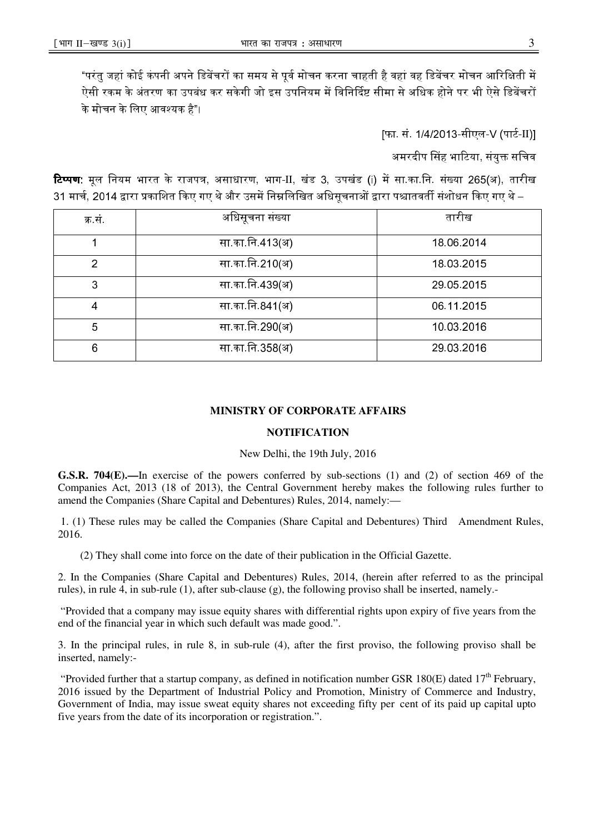"परंत जहां कोई कंपनी अपने डिबेंचरों का समय से पर्व मोचन करना चाहती है वहां वह डिबेंचर मोचन आरिक्षिती में : ऐसी रकम के अंतरण का उपबंध कर सकेगी जो इस उपनियम में विनिर्दिष्ट सीमा से अधिक होने पर भी ऐसे डिबेंचरों के मोचन के लिए आवश्यक है"।

[फा. सं. 1/4/2013-सीएल-V (पार्ट-II)]

अमरदीप सिंह भाटिया, संयुक्त सचिव

**टिप्पण:** मूल नियम भारत के राजपत्र, असाधारण, भाग-II, खंड 3, उपखंड (i) में सा.का.नि. संख्या 265(अ), तारीख 31 मार्च. 2014 द्रारा प्रकाशित किए गए थे और उसमें निम्नलिखित अधिसचनाओं द्रारा पश्चातवर्ती संशोधन किए गए थे –

| क्र सं         | अधिसूचना संख्या | तारीख      |
|----------------|-----------------|------------|
|                | सा का नि 413(अ) | 18 06 2014 |
| $\overline{2}$ | सा का नि 210(अ) | 18 03 2015 |
| 3              | सा का नि 439(अ) | 29 05 2015 |
| 4              | सा का नि 841(अ) | 06 11 2015 |
| 5              | सा का नि 290(अ) | 10 03 2016 |
| 6              | सा का नि 358(अ) | 29 03 2016 |

## **MINISTRY OF CORPORATE AFFAIRS**

### **NOTIFICATION**

### New Delhi, the 19th July, 2016

**G.S.R. 704(E).—**In exercise of the powers conferred by sub-sections (1) and (2) of section 469 of the Companies Act, 2013 (18 of 2013), the Central Government hereby makes the following rules further to amend the Companies (Share Capital and Debentures) Rules, 2014, namely:—

 1. (1) These rules may be called the Companies (Share Capital and Debentures) Third Amendment Rules, 2016.

(2) They shall come into force on the date of their publication in the Official Gazette.

2. In the Companies (Share Capital and Debentures) Rules, 2014, (herein after referred to as the principal rules), in rule 4, in sub-rule (1), after sub-clause (g), the following proviso shall be inserted, namely.-

 "Provided that a company may issue equity shares with differential rights upon expiry of five years from the end of the financial year in which such default was made good.".

3. In the principal rules, in rule 8, in sub-rule (4), after the first proviso, the following proviso shall be inserted, namely:-

"Provided further that a startup company, as defined in notification number GSR 180(E) dated  $17<sup>th</sup>$  February, 2016 issued by the Department of Industrial Policy and Promotion, Ministry of Commerce and Industry, Government of India, may issue sweat equity shares not exceeding fifty per cent of its paid up capital upto five years from the date of its incorporation or registration.".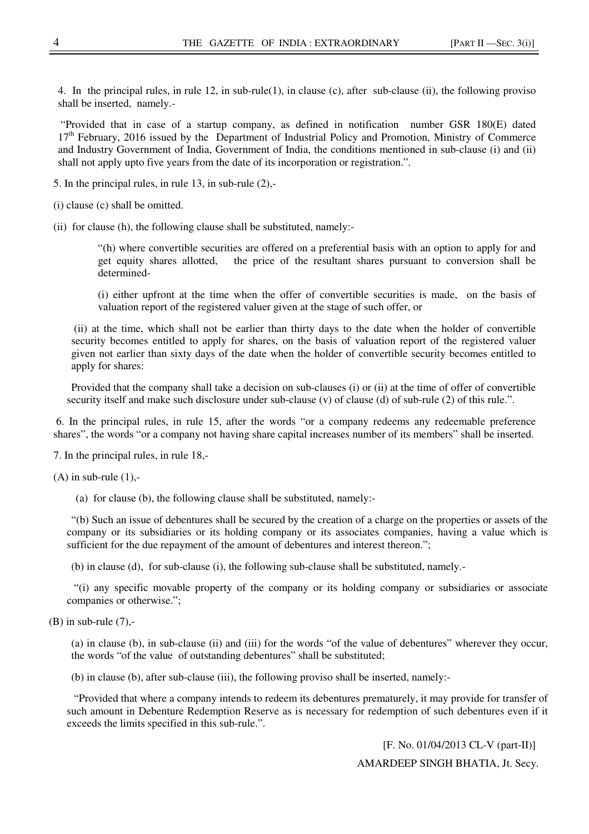4. In the principal rules, in rule 12, in sub-rule(1), in clause (c), after sub-clause (ii), the following proviso shall be inserted, namely.-

 "Provided that in case of a startup company, as defined in notification number GSR 180(E) dated 17<sup>th</sup> February, 2016 issued by the Department of Industrial Policy and Promotion, Ministry of Commerce and Industry Government of India, Government of India, the conditions mentioned in sub-clause (i) and (ii) shall not apply upto five years from the date of its incorporation or registration.".

5. In the principal rules, in rule 13, in sub-rule (2),-

(i) clause (c) shall be omitted.

(ii) for clause (h), the following clause shall be substituted, namely:-

"(h) where convertible securities are offered on a preferential basis with an option to apply for and get equity shares allotted, the price of the resultant shares pursuant to conversion shall be determined-

(i) either upfront at the time when the offer of convertible securities is made, on the basis of valuation report of the registered valuer given at the stage of such offer, or

 (ii) at the time, which shall not be earlier than thirty days to the date when the holder of convertible security becomes entitled to apply for shares, on the basis of valuation report of the registered valuer given not earlier than sixty days of the date when the holder of convertible security becomes entitled to apply for shares:

Provided that the company shall take a decision on sub-clauses (i) or (ii) at the time of offer of convertible security itself and make such disclosure under sub-clause (v) of clause (d) of sub-rule (2) of this rule.".

 6. In the principal rules, in rule 15, after the words "or a company redeems any redeemable preference shares", the words "or a company not having share capital increases number of its members" shall be inserted.

7. In the principal rules, in rule 18,-

 $(A)$  in sub-rule  $(1)$ ,-

(a) for clause (b), the following clause shall be substituted, namely:-

"(b) Such an issue of debentures shall be secured by the creation of a charge on the properties or assets of the company or its subsidiaries or its holding company or its associates companies, having a value which is sufficient for the due repayment of the amount of debentures and interest thereon.";

(b) in clause (d), for sub-clause (i), the following sub-clause shall be substituted, namely.-

 "(i) any specific movable property of the company or its holding company or subsidiaries or associate companies or otherwise.";

 $(B)$  in sub-rule  $(7)$ ,-

(a) in clause (b), in sub-clause (ii) and (iii) for the words "of the value of debentures" wherever they occur, the words "of the value of outstanding debentures" shall be substituted;

(b) in clause (b), after sub-clause (iii), the following proviso shall be inserted, namely:-

 "Provided that where a company intends to redeem its debentures prematurely, it may provide for transfer of such amount in Debenture Redemption Reserve as is necessary for redemption of such debentures even if it exceeds the limits specified in this sub-rule.".

> [F. No. 01/04/2013 CL-V (part-II)] AMARDEEP SINGH BHATIA, Jt. Secy.